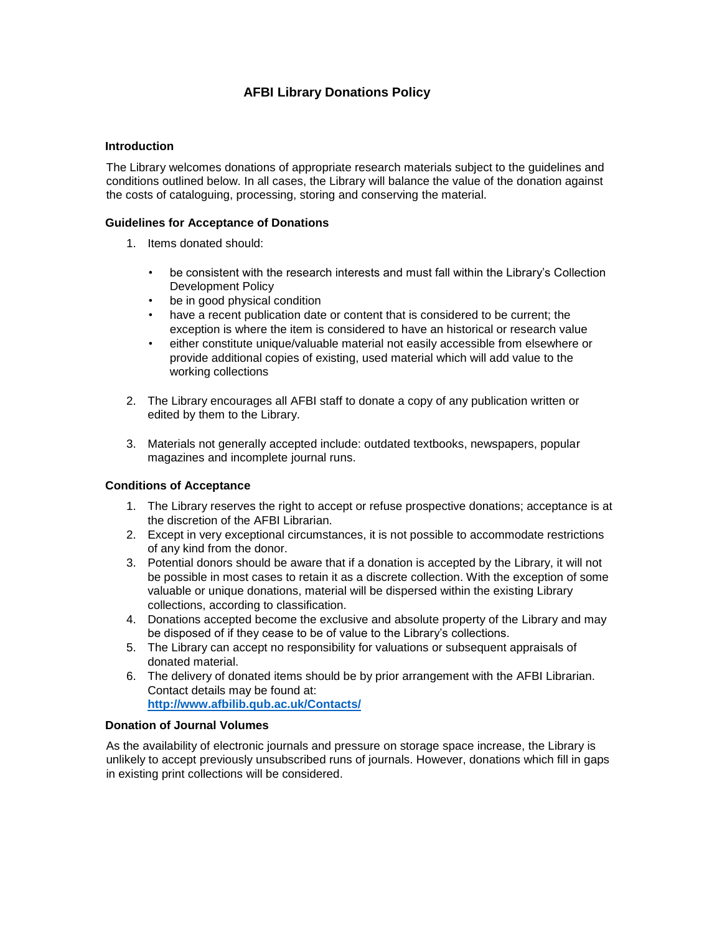# **AFBI Library Donations Policy**

## **Introduction**

The Library welcomes donations of appropriate research materials subject to the guidelines and conditions outlined below. In all cases, the Library will balance the value of the donation against the costs of cataloguing, processing, storing and conserving the material.

## **Guidelines for Acceptance of Donations**

- 1. Items donated should:
	- be consistent with the research interests and must fall within the Library's Collection Development Policy
	- be in good physical condition
	- have a recent publication date or content that is considered to be current; the exception is where the item is considered to have an historical or research value
	- either constitute unique/valuable material not easily accessible from elsewhere or provide additional copies of existing, used material which will add value to the working collections
- 2. The Library encourages all AFBI staff to donate a copy of any publication written or edited by them to the Library.
- 3. Materials not generally accepted include: outdated textbooks, newspapers, popular magazines and incomplete journal runs.

#### **Conditions of Acceptance**

- 1. The Library reserves the right to accept or refuse prospective donations; acceptance is at the discretion of the AFBI Librarian.
- 2. Except in very exceptional circumstances, it is not possible to accommodate restrictions of any kind from the donor.
- 3. Potential donors should be aware that if a donation is accepted by the Library, it will not be possible in most cases to retain it as a discrete collection. With the exception of some valuable or unique donations, material will be dispersed within the existing Library collections, according to classification.
- 4. Donations accepted become the exclusive and absolute property of the Library and may be disposed of if they cease to be of value to the Library's collections.
- 5. The Library can accept no responsibility for valuations or subsequent appraisals of donated material.
- 6. The delivery of donated items should be by prior arrangement with the AFBI Librarian. Contact details may be found at: **<http://www.afbilib.qub.ac.uk/Contacts/>**

#### **Donation of Journal Volumes**

As the availability of electronic journals and pressure on storage space increase, the Library is unlikely to accept previously unsubscribed runs of journals. However, donations which fill in gaps in existing print collections will be considered.